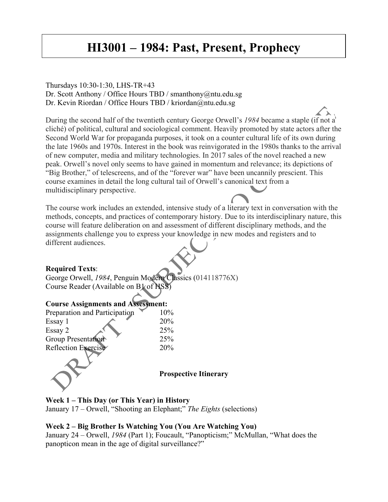# **HI3001 – 1984: Past, Present, Prophecy**

#### Thursdays 10:30-1:30, LHS-TR+43 Dr. Scott Anthony / Office Hours TBD / smanthony@ntu.edu.sg Dr. Kevin Riordan / Office Hours TBD / kriordan@ntu.edu.sg

During the second half of the twentieth century George Orwell's *1984* became a staple (if not a cliché) of political, cultural and sociological comment. Heavily promoted by state actors after the Second World War for propaganda purposes, it took on a counter cultural life of its own during the late 1960s and 1970s. Interest in the book was reinvigorated in the 1980s thanks to the arrival of new computer, media and military technologies. In 2017 sales of the novel reached a new peak. Orwell's novel only seems to have gained in momentum and relevance; its depictions of "Big Brother," of telescreens, and of the "forever war" have been uncannily prescient. This course examines in detail the long cultural tail of Orwell's canonical text from a multidisciplinary perspective.

The course work includes an extended, intensive study of a literary text in conversation with the methods, concepts, and practices of contemporary history. Due to its interdisciplinary nature, this course will feature deliberation on and assessment of different disciplinary methods, and the assignments challenge you to express your knowledge in new modes and registers and to different audiences.

#### **Required Texts**:

George Orwell, *1984*, Penguin Modern Classics (014118776X) Course Reader (Available on B1 of HSS)

#### **Course Assignments and Assessment:**

| Preparation and Participation | 10%                          |
|-------------------------------|------------------------------|
| Essay 1                       | 20%                          |
| Essay 2                       | 25%                          |
| Group Presentation            | 25%                          |
| Reflection Exercise           | 20%                          |
|                               | <b>Prospective Itinerary</b> |

#### **Week 1 – This Day (or This Year) in History**

January 17 – Orwell, "Shooting an Elephant;" *The Eights* (selections)

#### **Week 2 – Big Brother Is Watching You (You Are Watching You)**

January 24 – Orwell, *1984* (Part 1); Foucault, "Panopticism;" McMullan, "What does the panopticon mean in the age of digital surveillance?"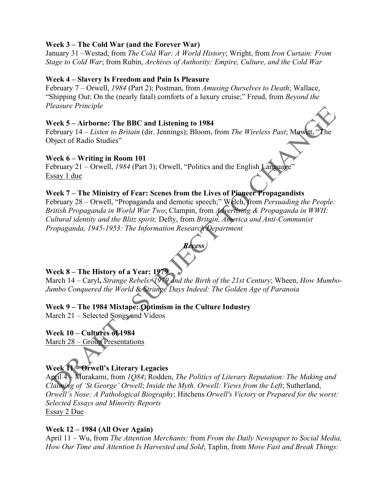## **Week 3 – The Cold War (and the Forever War)**

January 31 –Westad, from *The Cold War: A World History*; Wright, from *Iron Curtain: From Stage to Cold War*; from Rubin, *Archives of Authority: Empire, Culture, and the Cold War*

## **Week 4 – Slavery Is Freedom and Pain Is Pleasure**

February 7 – Orwell, *1984* (Part 2); Postman, from *Amusing Ourselves to Death*; Wallace, "Shipping Out: On the (nearly fatal) comforts of a luxury cruise;" Freud, from *Beyond the Pleasure Principle*

### **Week 5 – Airborne: The BBC and Listening to 1984**

February 14 – *Listen to Britain* (dir. Jennings); Bloom, from *The Wireless Past*; Mowitt, Object of Radio Studies"

#### **Week 6 – Writing in Room 101**

February 21 – Orwell, *1984* (Part 3); Orwell, "Politics and the English Language" Essay 1 due

## **Week 7 – The Ministry of Fear: Scenes from the Lives of Pioneer Propagandists**

February 28 – Orwell, "Propaganda and demotic speech;" Welch, from *Persuading the People: British Propaganda in World War Two*; Clampin, from *Advertising & Propaganda in WWII: Cultural identity and the Blitz spirit;* Defty, from *Britain, America and Anti-Communist Propaganda, 1945-1953: The Information Research Department*



# **Week 8 – The History of a Year: 1979**

March 14 – Caryl**,** *Strange Rebels: 1979 and the Birth of the 21st Century*; Wheen, *How Mumbo-Jumbo Conquered the World* & *Strange Days Indeed: The Golden Age of Paranoia*

# **Week 9 – The 1984 Mixtape: Optimism in the Culture Industry**

March 21 – Selected Songs and Videos

**Week 10 – Cultures of 1984** March 28 – Group Presentations

# **Week 11 – Orwell's Literary Legacies**

April 4 – Murakami, from *1Q84*; Rodden, *The Politics of Literary Reputation: The Making and Claiming of 'St George' Orwell*; *Inside the Myth. Orwell: Views from the Left*; Sutherland, *Orwell's Nose: A Pathological Biography*; Hitchens *Orwell's Victory* or *Prepared for the worst: Selected Essays and Minority Reports* Essay 2 Due

## **Week 12 – 1984 (All Over Again)**

April 11 – Wu, from *The Attention Merchants:* from *From the Daily Newspaper to Social Media, How Our Time and Attention Is Harvested and Sold*; Taplin, from *Move Fast and Break Things:*